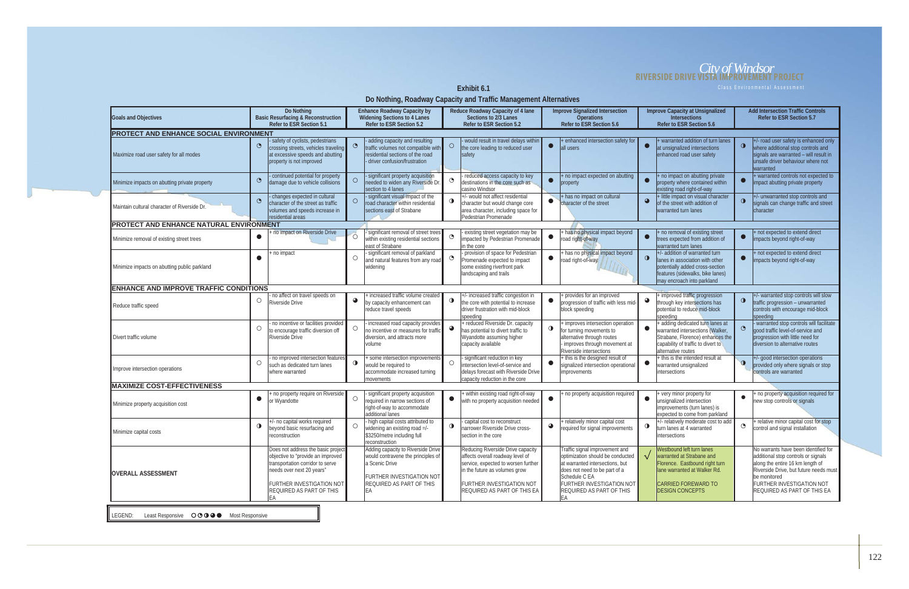Exhibit 6.1

### *City of Windsor* **RIVERSIDE DRIVE VISTA IMPROVEMENT PROJECT**

**Do Nothing, Roadway Capacity and Traffic Management Alternatives** 

| <b>Goals and Objectives</b>                                                                                  | Do Nothing<br><b>Basic Resurfacing &amp; Reconstruction</b>                                                                                                                                                     | <b>Enhance Roadway Capacity by</b><br><b>Widening Sections to 4 Lanes</b>                                                                                        | Reduce Roadway Capacity of 4 lane<br>Sections to 2/3 Lanes<br><b>Refer to ESR Section 5.2</b>                                                                                                             | <b>Improve Signalized Intersection</b><br><b>Operations</b>                                                                                                                                                            | <b>Improve Capacity at Unsignalized</b><br><b>Intersections</b>                                                                                                                         | <b>Add Intersection Traffic Controls</b><br>Refer to ESR Section 5.7                                                                                                                                                                  |  |  |  |  |
|--------------------------------------------------------------------------------------------------------------|-----------------------------------------------------------------------------------------------------------------------------------------------------------------------------------------------------------------|------------------------------------------------------------------------------------------------------------------------------------------------------------------|-----------------------------------------------------------------------------------------------------------------------------------------------------------------------------------------------------------|------------------------------------------------------------------------------------------------------------------------------------------------------------------------------------------------------------------------|-----------------------------------------------------------------------------------------------------------------------------------------------------------------------------------------|---------------------------------------------------------------------------------------------------------------------------------------------------------------------------------------------------------------------------------------|--|--|--|--|
| Refer to ESR Section 5.1<br>Refer to ESR Section 5.2<br>Refer to ESR Section 5.6<br>Refer to ESR Section 5.6 |                                                                                                                                                                                                                 |                                                                                                                                                                  |                                                                                                                                                                                                           |                                                                                                                                                                                                                        |                                                                                                                                                                                         |                                                                                                                                                                                                                                       |  |  |  |  |
| <b>PROTECT AND ENHANCE SOCIAL ENVIRONMENT</b>                                                                |                                                                                                                                                                                                                 |                                                                                                                                                                  |                                                                                                                                                                                                           |                                                                                                                                                                                                                        |                                                                                                                                                                                         |                                                                                                                                                                                                                                       |  |  |  |  |
| Maximize road user safety for all modes                                                                      | safety of cyclists, pedestrians<br>$\odot$<br>crossing streets, vehicles traveling<br>at excessive speeds and abutting<br>property is not improved                                                              | adding capacity and resulting<br>$\odot$<br>traffic volumes not compatible with<br>residential sections of the road<br>driver confusion/frustration              | would result in travel delays within<br>$\circ$<br>the core leading to reduced user<br>safety                                                                                                             | enhanced intersection safety for<br>$\bullet$<br>all users                                                                                                                                                             | + warranted addition of turn lanes<br>at unsignalized intersections<br>enhanced road user safety                                                                                        | +/- road user safety is enhanced only<br>$\mathbf 0$<br>where additional stop controls and<br>signals are warranted - will result in<br>unsafe driver behaviour where not<br><i>warranted</i>                                         |  |  |  |  |
| Minimize impacts on abutting private property                                                                | continued potential for property<br>$\bullet$<br>damage due to vehicle collisions                                                                                                                               | significant property acquisition<br>$\bigcirc$<br>needed to widen any Riverside Dr<br>section to 4 lanes                                                         | reduced access capacity to key<br>$\mathbf{\Theta}$<br>destinations in the core such as<br>casino Windsor                                                                                                 | no impact expected on abutting<br>$\bullet$<br>property                                                                                                                                                                | + no impact on abutting private<br>property where contained within<br>existing road right-of-way                                                                                        | + warranted controls not expected to<br>impact abutting private property                                                                                                                                                              |  |  |  |  |
| Maintain cultural character of Riverside Dr.                                                                 | changes expected in cultural<br>$\odot$<br>character of the street as traffic<br>volumes and speeds increase in<br>residential areas                                                                            | significant visual impact of the<br>$\circ$<br>road character within residential<br>sections east of Strabane                                                    | +/- would not affect residential<br>$\bullet$<br>character but would change core<br>area character, including space for<br>Pedestrian Promenade                                                           | + has no impact on cultural<br>$\bullet$<br>character of the street                                                                                                                                                    | + little impact on visual character<br>of the street with addition of<br>warranted turn lanes                                                                                           | $+/-$ unwarranted stop controls and<br>$\bullet$<br>signals can change traffic and street<br>character                                                                                                                                |  |  |  |  |
| PROTECT AND ENHANCE NATURAL ENVIRONMENT                                                                      |                                                                                                                                                                                                                 |                                                                                                                                                                  |                                                                                                                                                                                                           |                                                                                                                                                                                                                        |                                                                                                                                                                                         |                                                                                                                                                                                                                                       |  |  |  |  |
| Minimize removal of existing street trees                                                                    | no impact on Riverside Drive                                                                                                                                                                                    | significant removal of street trees<br>$\circ$<br>within existing residential sections<br>east of Strabane                                                       | existing street vegetation may be<br>$\odot$<br>mpacted by Pedestrian Promenade<br>in the core                                                                                                            | has no physical impact beyond<br>$\bullet$<br>road right-of-way                                                                                                                                                        | + no removal of existing street<br>$\bullet$<br>trees expected from addition of<br>warranted turn lanes                                                                                 | + not expected to extend direct<br>$\bullet$<br>impacts beyond right-of-way                                                                                                                                                           |  |  |  |  |
| Minimize impacts on abutting public parkland                                                                 | no impact                                                                                                                                                                                                       | significant removal of parkland<br>O<br>and natural features from any road<br>widening                                                                           | - provision of space for Pedestrian<br>Promenade expected to impact<br>some existing riverfront park<br>landscaping and trails                                                                            | has no physical impact beyond<br>$\bullet$<br>road right-of-way<br>TIME                                                                                                                                                | +/- addition of warranted turn<br>$\bullet$<br>lanes in association with other<br>potentially added cross-section<br>features (sidewalks, bike lanes)<br>may encroach into parkland     | + not expected to extend direct<br>impacts beyond right-of-way                                                                                                                                                                        |  |  |  |  |
| <b>ENHANCE AND IMPROVE TRAFFIC CONDITIONS</b>                                                                |                                                                                                                                                                                                                 |                                                                                                                                                                  |                                                                                                                                                                                                           |                                                                                                                                                                                                                        |                                                                                                                                                                                         |                                                                                                                                                                                                                                       |  |  |  |  |
| Reduce traffic speed                                                                                         | no affect on travel speeds on<br>$\circ$<br>Riverside Drive                                                                                                                                                     | increased traffic volume created<br>$\bullet$<br>by capacity enhancement can<br>reduce travel speeds                                                             | - increased traffic congestion in<br>$\bullet$<br>the core with potential to increase<br>driver frustration with mid-block<br>speeding                                                                    | provides for an improved<br>$\bullet$<br>progression of traffic with less mid-<br>block speeding                                                                                                                       | + improved traffic progression<br>◕<br>through key intersections has<br>potential to reduce mid-block<br>speeding                                                                       | $+/-$ warranted stop controls will slow<br>$\bullet$<br>traffic progression - unwarranted<br>controls with encourage mid-block<br>speeding                                                                                            |  |  |  |  |
| Divert traffic volume                                                                                        | no incentive or facilities provided<br>O<br>to encourage traffic diversion off<br>Riverside Drive                                                                                                               | increased road capacity provides<br>$\circ$<br>no incentive or measures for traffic<br>diversion, and attracts more<br><i>volume</i>                             | + reduced Riverside Dr. capacity<br>has potential to divert traffic to<br>Wyandotte assuming higher<br>capacity available                                                                                 | improves intersection operation<br>$\bullet$<br>for turning movements to<br>alternative through routes<br>improves through movement at<br>Riverside intersections                                                      | + adding dedicated turn lanes at<br>warranted intersections (Walker<br>Strabane, Florence) enhances the<br>capability of traffic to divert to<br>alternative routes                     | - warranted stop controls will facilitate<br>good traffic level-of-service and<br>progression with little need for<br>diversion to alternative routes                                                                                 |  |  |  |  |
| Improve intersection operations                                                                              | no improved intersection features<br>O<br>such as dedicated turn lanes<br>where warranted                                                                                                                       | some intersection improvements<br>$\mathbf{O}$<br>would be required to<br>accommodate increased turning<br>movements                                             | significant reduction in key<br>$\circ$<br>intersection level-of-service and<br>delays forecast with Riverside Drive<br>capacity reduction in the core                                                    | this is the designed result of<br>$\bullet$<br>signalized intersection operational<br>improvements                                                                                                                     | this is the intended result at<br>warranted unsignalized<br>intersections                                                                                                               | $\left  + \right $ - good intersection operations<br>$\bullet$<br>provided only where signals or stop<br>controls are warranted                                                                                                       |  |  |  |  |
| <b>IMAXIMIZE COST-EFFECTIVENESS</b>                                                                          |                                                                                                                                                                                                                 |                                                                                                                                                                  |                                                                                                                                                                                                           |                                                                                                                                                                                                                        |                                                                                                                                                                                         |                                                                                                                                                                                                                                       |  |  |  |  |
| Minimize property acquisition cost                                                                           | no property require on Riverside<br>$\bullet$<br>or Wyandotte                                                                                                                                                   | significant property acquisition<br>$\circ$<br>required in narrow sections of<br>right-of-way to accommodate<br>additional lanes                                 | within existing road right-of-way<br>$\bullet$<br>with no property acquisition needed                                                                                                                     | no property acquisition required                                                                                                                                                                                       | + very minor property for<br>$\bullet$<br>unsignalized intersection<br>improvements (turn lanes) is<br>expected to come from parkland                                                   | no property acquisition required for<br>new stop controls or signals                                                                                                                                                                  |  |  |  |  |
| Minimize capital costs                                                                                       | -/- no capital works required<br>$\bullet$<br>beyond basic resurfacing and<br>reconstruction                                                                                                                    | high capital costs attributed to<br>$\circ$<br>widening an existing road =/-<br>\$3250/metre including full<br>reconstruction                                    | capital cost to reconstruct<br>$\bullet$<br>narrower Riverside Drive cross-<br>section in the core                                                                                                        | + relatively minor capital cost<br>$\bullet$<br>required for signal improvements                                                                                                                                       | +/- relatively moderate cost to add<br>$\bullet$<br>turn lanes at 4 warranted<br>intersections                                                                                          | + relative minor capital cost for stop<br>$\odot$<br>control and signal installation                                                                                                                                                  |  |  |  |  |
| <b>OVERALL ASSESSMENT</b>                                                                                    | Does not address the basic project<br>objective to "provide an improved<br>transportation corridor to serve<br>needs over next 20 years"<br>FURTHER INVESTIGATION NOT<br><b>REQUIRED AS PART OF THIS</b><br> EA | Adding capacity to Riverside Drive<br>would contravene the principles of<br>a Scenic Drive<br>FURTHER INVESTIGATION NOT<br><b>REQUIRED AS PART OF THIS</b><br>EA | Reducing Riverside Drive capacity<br>affects overall roadway level of<br>service, expected to worsen further<br>in the future as volumes grow<br>FURTHER INVESTIGATION NOT<br>REQUIRED AS PART OF THIS EA | Traffic signal improvement and<br>optimization should be conducted<br>at warranted intersections, but<br>does not need to be part of a<br>Schedule C EA<br>FURTHER INVESTIGATION NOT<br>REQUIRED AS PART OF THIS<br>EA | Westbound left turn lanes<br>warranted at Strabane and<br>$\sqrt{ }$<br>Florence. Eastbound right turn<br>lane warranted at Walker Rd.<br>CARRIED FOREWARD TO<br><b>DESIGN CONCEPTS</b> | No warrants have been identified for<br>additional stop controls or signals<br>along the entire 16 km length of<br>Riverside Drive, but future needs must<br>be monitored<br>FURTHER INVESTIGATION NOT<br>REQUIRED AS PART OF THIS EA |  |  |  |  |
| Least Responsive OOOOO Most Responsive<br>LEGEND:                                                            |                                                                                                                                                                                                                 |                                                                                                                                                                  |                                                                                                                                                                                                           |                                                                                                                                                                                                                        |                                                                                                                                                                                         |                                                                                                                                                                                                                                       |  |  |  |  |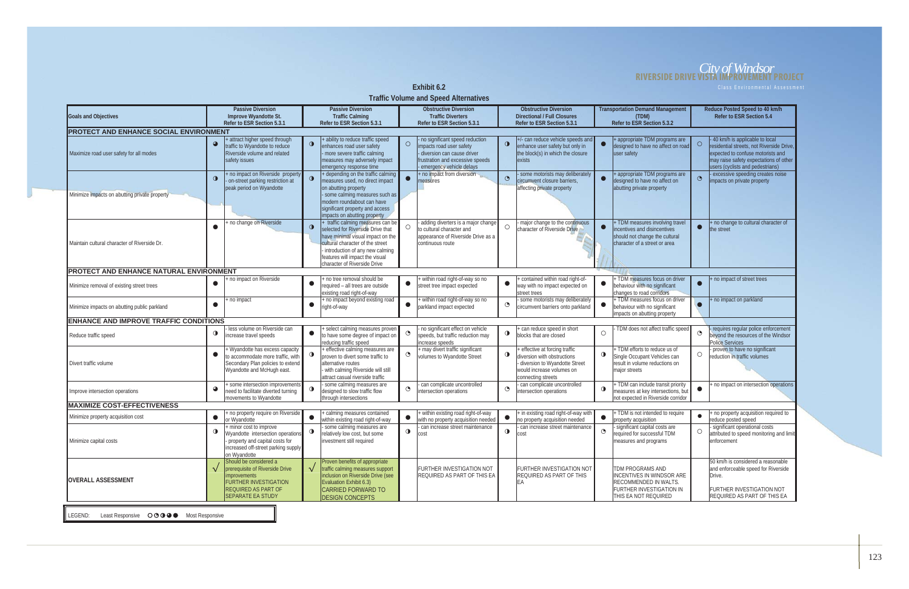# *City of Windsor* **RIVERSIDE DRIVE VISTA IMPROVEMENT PROJECT**

**Exhibit 6.2 Class Environmental Assessment** 

**Traffic Volume and Speed Alternatives** 

| <b>ITAIL VULGATE AND SPEED ANETHALIZES</b>       |             |                                                                       |             |                                                                    |           |                                                                        |           |                                                                    |           |                                                                          |            |                                                                             |
|--------------------------------------------------|-------------|-----------------------------------------------------------------------|-------------|--------------------------------------------------------------------|-----------|------------------------------------------------------------------------|-----------|--------------------------------------------------------------------|-----------|--------------------------------------------------------------------------|------------|-----------------------------------------------------------------------------|
| Goals and Objectives                             |             | <b>Passive Diversion</b><br>Improve Wyandotte St.                     |             | <b>Passive Diversion</b><br><b>Traffic Calming</b>                 |           | <b>Obstructive Diversion</b><br><b>Traffic Diverters</b>               |           | <b>Obstructive Diversion</b><br><b>Directional / Full Closures</b> |           | <b>Transportation Demand Management</b><br>(TDM)                         |            | Reduce Posted Speed to 40 km/h<br>Refer to ESR Section 5.4                  |
|                                                  |             | Refer to ESR Section 5.3.1                                            |             | Refer to ESR Section 5.3.1                                         |           | Refer to ESR Section 5.3.1                                             |           | Refer to ESR Section 5.3.1                                         |           | Refer to ESR Section 5.3.2                                               |            |                                                                             |
| <b>PROTECT AND ENHANCE SOCIAL ENVIRONMENT</b>    |             |                                                                       |             |                                                                    |           |                                                                        |           |                                                                    |           |                                                                          |            |                                                                             |
|                                                  |             | + attract higher speed through                                        |             | + ability to reduce traffic speed                                  |           | - no significant speed reduction                                       |           | +/- can reduce vehicle speeds and                                  |           | + appropriate TDM programs are                                           |            | 40 km/h is applicable to local                                              |
|                                                  | $\bullet$   | traffic to Wyandotte to reduce                                        | $\bullet$   | enhances road user safety                                          | $\circ$   | impacts road user safety                                               | $\bullet$ | enhance user safety but only in                                    | $\bullet$ | designed to have no affect on road                                       | $\circ$    | residential streets, not Riverside Drive,                                   |
| Maximize road user safety for all modes          |             | Riverside volume and related<br>safety issues                         |             | more severe traffic calming<br>measures may adversely impact       |           | - diversion can cause driver<br>frustration and excessive speeds       |           | the block(s) in which the closure<br>exists                        |           | user safety                                                              |            | expected to confuse motorists and<br>may raise safety expectations of other |
|                                                  |             |                                                                       |             | emergency response time                                            |           | emergency vehicle delays                                               |           |                                                                    |           |                                                                          |            | users (cyclists and pedestrians)                                            |
|                                                  |             | no impact on Riverside property                                       |             | + depending on the traffic calming                                 |           | no impact from diversion                                               |           | some motorists may deliberately                                    |           | + appropriate TDM programs are                                           |            | excessive speeding creates noise                                            |
|                                                  | $\bullet$   | on-street parking restriction at                                      |             | measures used, no direct impact                                    | $\bullet$ | measures                                                               | $\odot$   | circumvent closure barriers.                                       | $\bullet$ | designed to have no affect on                                            | $\odot$    | impacts on private property                                                 |
| Minimize impacts on abutting private property    |             | peak period on Wyandotte                                              |             | on abutting property<br>some calming measures such as              |           |                                                                        |           | affecting private property                                         |           | abutting private property                                                |            |                                                                             |
|                                                  |             |                                                                       |             | modern roundabout can have                                         |           |                                                                        |           |                                                                    |           |                                                                          |            |                                                                             |
|                                                  |             |                                                                       |             | significant property and access                                    |           |                                                                        |           |                                                                    |           |                                                                          |            |                                                                             |
|                                                  |             | no change on Riverside                                                |             | impacts on abutting property<br>traffic calming measures can be    |           | adding diverters is a major change                                     |           | major change to the continuous                                     |           | + TDM measures involving travel                                          |            | + no change to cultural character of                                        |
|                                                  |             |                                                                       | $\bullet$   | selected for Riverside Drive that                                  | O         | to cultural character and                                              | $\circ$   | character of Riverside Drive                                       | $\bullet$ | incentives and disincentives                                             |            | the street                                                                  |
|                                                  |             |                                                                       |             | have minimal visual impact on the                                  |           | appearance of Riverside Drive as a                                     |           |                                                                    |           | should not change the cultural                                           |            |                                                                             |
| Maintain cultural character of Riverside Dr.     |             |                                                                       |             | cultural character of the street                                   |           | continuous route                                                       |           |                                                                    |           | character of a street or area                                            |            |                                                                             |
|                                                  |             |                                                                       |             | introduction of any new calming<br>features will impact the visual |           |                                                                        |           |                                                                    |           |                                                                          |            |                                                                             |
|                                                  |             |                                                                       |             | character of Riverside Drive                                       |           |                                                                        |           |                                                                    |           |                                                                          |            |                                                                             |
| <b>PROTECT AND ENHANCE NATURAL ENVIRONMENT</b>   |             |                                                                       |             |                                                                    |           |                                                                        |           |                                                                    |           |                                                                          |            |                                                                             |
|                                                  | $\bullet$   | no impact on Riverside                                                | $\bullet$   | no tree removal should be                                          | $\bullet$ | within road right-of-way so no                                         | $\bullet$ | contained within road right-of-                                    | $\bullet$ | TDM measures focus on driver                                             |            | + no impact of street trees                                                 |
| Minimize removal of existing street trees        |             |                                                                       |             | required - all trees are outside<br>existing road right-of-way     |           | street tree impact expected                                            |           | way with no impact expected on<br>street trees                     |           | behaviour with no significant<br>changes to road corridors               |            |                                                                             |
|                                                  |             | no impact                                                             |             | + no impact beyond existing road                                   |           | within road right-of-way so no                                         |           | some motorists may deliberately                                    |           | + TDM measures focus on driver                                           |            | + no impact on parkland                                                     |
| Minimize impacts on abutting public parkland     | $\bullet$   |                                                                       | $\bullet$   | right-of-way                                                       | $\bullet$ | parkland impact expected                                               | $\circ$   | circumvent barriers onto parkland                                  | $\bullet$ | behaviour with no significant                                            |            |                                                                             |
|                                                  |             |                                                                       |             |                                                                    |           |                                                                        |           |                                                                    |           | impacts on abutting property                                             |            |                                                                             |
| <b>ENHANCE AND IMPROVE TRAFFIC CONDITIONS</b>    |             | less volume on Riverside can                                          |             | select calming measures proven                                     |           | no significant effect on vehicle                                       |           | can reduce speed in short                                          |           | TDM does not affect traffic speed                                        |            | requires regular police enforcement                                         |
| Reduce traffic speed                             | $\bullet$   | increase travel speeds                                                | $\bullet$   | to have some degree of impact on                                   | $\odot$   | speeds, but traffic reduction may                                      | $\bullet$ | blocks that are closed                                             | $\circ$   |                                                                          | $\odot$    | beyond the resources of the Windsor                                         |
|                                                  |             |                                                                       |             | reducing traffic speed                                             |           | increase speeds                                                        |           |                                                                    |           |                                                                          |            | <b>Police Services</b>                                                      |
|                                                  | $\bullet$   | Wyandotte has excess capacity<br>to accommodate more traffic, with    | $\mathbf 0$ | effective calming measures are<br>proven to divert some traffic to | $\odot$   | + may divert traffic significant                                       | $\bullet$ | effective at forcing traffic<br>diversion with obstructions        | $\bullet$ | TDM efforts to reduce us of<br>Single Occupant Vehicles can              | $\circ$    | proven to have no significant<br>reduction in traffic volumes               |
| Divert traffic volume                            |             | Secondary Plan policies to extend                                     |             | alternative routes                                                 |           | volumes to Wyandotte Street                                            |           | diversion to Wyandotte Street                                      |           | result in volume reductions on                                           |            |                                                                             |
|                                                  |             | Wyandotte and McHugh east.                                            |             | with calming Riverside will still                                  |           |                                                                        |           | would increase volumes on                                          |           | major streets                                                            |            |                                                                             |
|                                                  |             |                                                                       |             | attract casual riverside traffic                                   |           |                                                                        |           | connecting streets                                                 |           |                                                                          |            |                                                                             |
| Improve intersection operations                  | $\bullet$   | some intersection improvements<br>need to facilitate diverted turning | $\bullet$   | some calming measures are<br>designed to slow traffic flow         | $\bullet$ | can complicate uncontrolled<br>intersection operations                 | $\circ$   | can complicate uncontrolled<br>intersection operations             | $\bullet$ | + TDM can include transit priority<br>measures at key intersections, but | $\bullet$  | + no impact on intersection operations                                      |
|                                                  |             | movements to Wyandotte                                                |             | through intersections                                              |           |                                                                        |           |                                                                    |           | not expected in Riverside corridor                                       |            |                                                                             |
| <b>MAXIMIZE COST-EFFECTIVENESS</b>               |             |                                                                       |             |                                                                    |           |                                                                        |           |                                                                    |           |                                                                          |            |                                                                             |
| Minimize property acquisition cost               | $\bullet$   | no property require on Riverside                                      | $\bullet$   | calming measures contained                                         |           | within existing road right-of-way                                      |           | + in existing road right-of-way with                               |           | + TDM is not intended to require                                         | $\bullet$  | + no property acquisition required to                                       |
|                                                  |             | or Wyandotte<br>+ minor cost to improve                               |             | within existing road right-of-way<br>some calming measures are     |           | with no property acquisition needed<br>can increase street maintenance |           | no property acquisition needed<br>can increase street maintenance  |           | property acquisition<br>significant capital costs are                    |            | reduce posted speed<br>significant operational costs                        |
|                                                  | $\mathbf 0$ | Wyandotte intersection operations                                     | $\bullet$   | relatively low cost, but some                                      |           | COSt                                                                   | ◡         | COSt                                                               |           | required for successful TDM                                              | $\bigcirc$ | attributed to speed monitoring and limit                                    |
| Minimize capital costs                           |             | property and capital costs for                                        |             | investment still required                                          |           |                                                                        |           |                                                                    |           | measures and programs                                                    |            | enforcement                                                                 |
|                                                  |             | increased off-street parking supply                                   |             |                                                                    |           |                                                                        |           |                                                                    |           |                                                                          |            |                                                                             |
| <b>OVERALL ASSESSMENT</b>                        |             | on Wyandotte<br>Should be considered a                                |             | Proven benefits of appropriate                                     |           |                                                                        |           |                                                                    |           |                                                                          |            | 50 km/h is considered a reasonable                                          |
|                                                  |             | prerequisite of Riverside Drive                                       | $\sqrt{}$   | traffic calming measures support                                   |           | FURTHER INVESTIGATION NOT                                              |           | FURTHER INVESTIGATION NOT                                          |           | TDM PROGRAMS AND                                                         |            | and enforceable speed for Riverside                                         |
|                                                  |             | mprovements                                                           |             | inclusion on Riverside Drive (see                                  |           | REQUIRED AS PART OF THIS EA                                            |           | <b>REQUIRED AS PART OF THIS</b>                                    |           | <b>INCENTIVES IN WINDSOR ARE</b>                                         |            | Drive.                                                                      |
|                                                  |             | <b>FURTHER INVESTIGATION</b><br><b>REQUIRED AS PART OF</b>            |             | Evaluation Exhibit 6.3)                                            |           |                                                                        |           | EA                                                                 |           | <b>RECOMMENDED IN WALTS.</b>                                             |            | <b>FURTHER INVESTIGATION NOT</b>                                            |
|                                                  |             | <b>SEPARATE EA STUDY</b>                                              |             | <b>CARRIED FORWARD TO</b><br><b>DESIGN CONCEPTS</b>                |           |                                                                        |           |                                                                    |           | <b>FURTHER INVESTIGATION IN</b><br>THIS EA NOT REQUIRED                  |            | REQUIRED AS PART OF THIS EA                                                 |
|                                                  |             |                                                                       |             |                                                                    |           |                                                                        |           |                                                                    |           |                                                                          |            |                                                                             |
| Least Responsive OOOO Most Responsive<br>LEGEND: |             |                                                                       |             |                                                                    |           |                                                                        |           |                                                                    |           |                                                                          |            |                                                                             |
|                                                  |             |                                                                       |             |                                                                    |           |                                                                        |           |                                                                    |           |                                                                          |            |                                                                             |